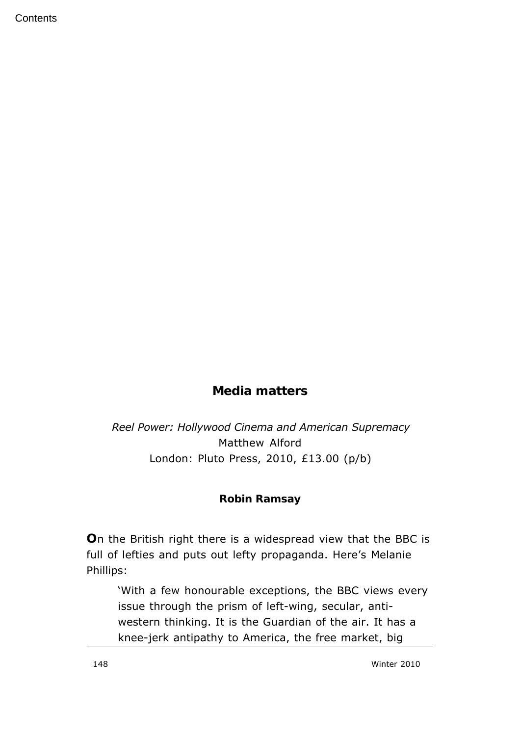**Contents** 

## **Media matters**

## *Reel Power: Hollywood Cinema and American Supremacy* Matthew Alford London: Pluto Press, 2010, £13.00 (p/b)

## **Robin Ramsay**

**O**n the British right there is a widespread view that the BBC is full of lefties and puts out lefty propaganda. Here's Melanie Phillips:

'With a few honourable exceptions, the BBC views every issue through the prism of left-wing, secular, antiwestern thinking. It is the Guardian of the air. It has a knee-jerk antipathy to America, the free market, big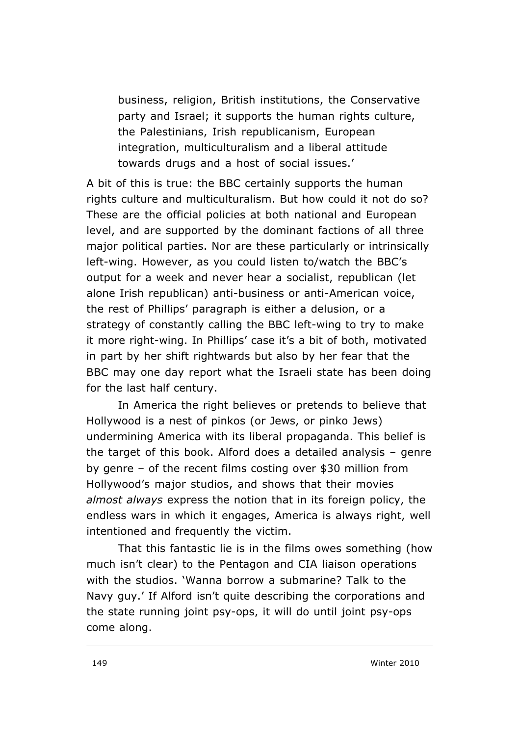business, religion, British institutions, the Conservative party and Israel; it supports the human rights culture, the Palestinians, Irish republicanism, European integration, multiculturalism and a liberal attitude towards drugs and a host of social issues.'

A bit of this is true: the BBC certainly supports the human rights culture and multiculturalism. But how could it not do so? These are the official policies at both national and European level, and are supported by the dominant factions of all three major political parties. Nor are these particularly or intrinsically left-wing. However, as you could listen to/watch the BBC's output for a week and never hear a socialist, republican (let alone Irish republican) anti-business or anti-American voice, the rest of Phillips' paragraph is either a delusion, or a strategy of constantly calling the BBC left-wing to try to make it more right-wing. In Phillips' case it's a bit of both, motivated in part by her shift rightwards but also by her fear that the BBC may one day report what the Israeli state has been doing for the last half century.

In America the right believes or pretends to believe that Hollywood is a nest of pinkos (or Jews, or pinko Jews) undermining America with its liberal propaganda. This belief is the target of this book. Alford does a detailed analysis – genre by genre – of the recent films costing over \$30 million from Hollywood's major studios, and shows that their movies *almost always* express the notion that in its foreign policy, the endless wars in which it engages, America is always right, well intentioned and frequently the victim.

That this fantastic lie is in the films owes something (how much isn't clear) to the Pentagon and CIA liaison operations with the studios. 'Wanna borrow a submarine? Talk to the Navy guy.' If Alford isn't quite describing the corporations and the state running joint psy-ops, it will do until joint psy-ops come along.